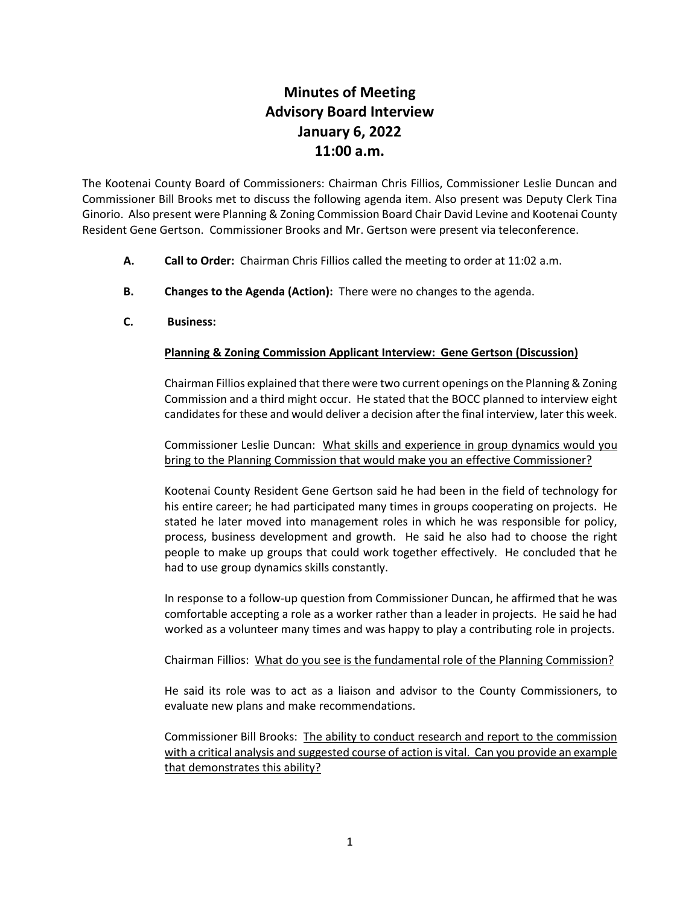## **Minutes of Meeting Advisory Board Interview January 6, 2022 11:00 a.m.**

The Kootenai County Board of Commissioners: Chairman Chris Fillios, Commissioner Leslie Duncan and Commissioner Bill Brooks met to discuss the following agenda item. Also present was Deputy Clerk Tina Ginorio. Also present were Planning & Zoning Commission Board Chair David Levine and Kootenai County Resident Gene Gertson. Commissioner Brooks and Mr. Gertson were present via teleconference.

- **A. Call to Order:** Chairman Chris Fillios called the meeting to order at 11:02 a.m.
- **B. Changes to the Agenda (Action):** There were no changes to the agenda.
- **C. Business:**

## **Planning & Zoning Commission Applicant Interview: Gene Gertson (Discussion)**

Chairman Fillios explained that there were two current openings on the Planning & Zoning Commission and a third might occur. He stated that the BOCC planned to interview eight candidates for these and would deliver a decision after the final interview, later this week.

Commissioner Leslie Duncan: What skills and experience in group dynamics would you bring to the Planning Commission that would make you an effective Commissioner?

Kootenai County Resident Gene Gertson said he had been in the field of technology for his entire career; he had participated many times in groups cooperating on projects. He stated he later moved into management roles in which he was responsible for policy, process, business development and growth. He said he also had to choose the right people to make up groups that could work together effectively. He concluded that he had to use group dynamics skills constantly.

In response to a follow-up question from Commissioner Duncan, he affirmed that he was comfortable accepting a role as a worker rather than a leader in projects. He said he had worked as a volunteer many times and was happy to play a contributing role in projects.

Chairman Fillios: What do you see is the fundamental role of the Planning Commission?

He said its role was to act as a liaison and advisor to the County Commissioners, to evaluate new plans and make recommendations.

Commissioner Bill Brooks: The ability to conduct research and report to the commission with a critical analysis and suggested course of action is vital. Can you provide an example that demonstrates this ability?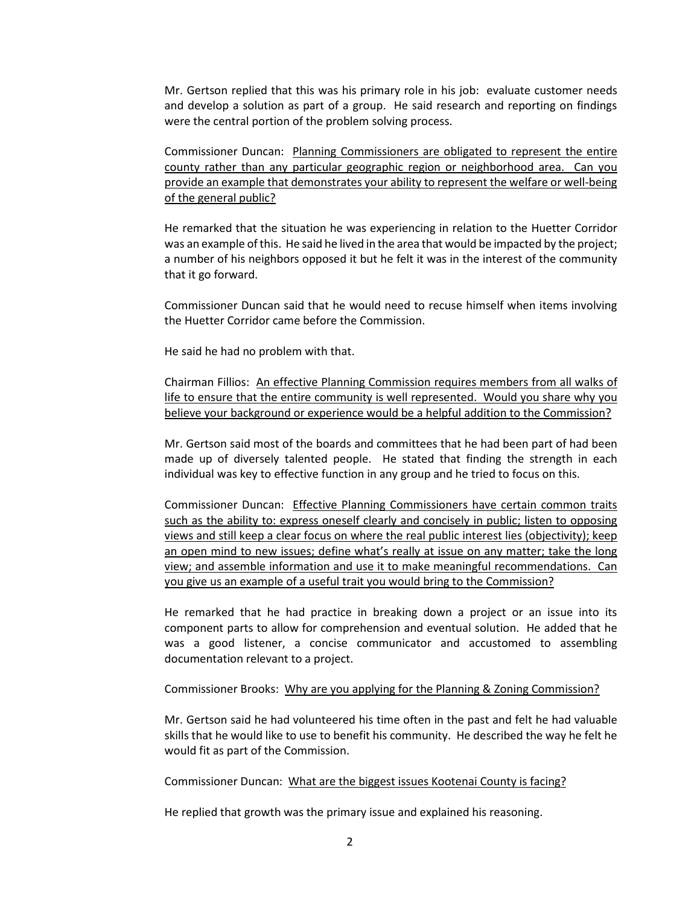Mr. Gertson replied that this was his primary role in his job: evaluate customer needs and develop a solution as part of a group. He said research and reporting on findings were the central portion of the problem solving process.

Commissioner Duncan: Planning Commissioners are obligated to represent the entire county rather than any particular geographic region or neighborhood area. Can you provide an example that demonstrates your ability to represent the welfare or well-being of the general public?

He remarked that the situation he was experiencing in relation to the Huetter Corridor was an example of this. He said he lived in the area that would be impacted by the project; a number of his neighbors opposed it but he felt it was in the interest of the community that it go forward.

Commissioner Duncan said that he would need to recuse himself when items involving the Huetter Corridor came before the Commission.

He said he had no problem with that.

Chairman Fillios: An effective Planning Commission requires members from all walks of life to ensure that the entire community is well represented. Would you share why you believe your background or experience would be a helpful addition to the Commission?

Mr. Gertson said most of the boards and committees that he had been part of had been made up of diversely talented people. He stated that finding the strength in each individual was key to effective function in any group and he tried to focus on this.

Commissioner Duncan: Effective Planning Commissioners have certain common traits such as the ability to: express oneself clearly and concisely in public; listen to opposing views and still keep a clear focus on where the real public interest lies (objectivity); keep an open mind to new issues; define what's really at issue on any matter; take the long view; and assemble information and use it to make meaningful recommendations. Can you give us an example of a useful trait you would bring to the Commission?

He remarked that he had practice in breaking down a project or an issue into its component parts to allow for comprehension and eventual solution. He added that he was a good listener, a concise communicator and accustomed to assembling documentation relevant to a project.

Commissioner Brooks: Why are you applying for the Planning & Zoning Commission?

Mr. Gertson said he had volunteered his time often in the past and felt he had valuable skills that he would like to use to benefit his community. He described the way he felt he would fit as part of the Commission.

Commissioner Duncan: What are the biggest issues Kootenai County is facing?

He replied that growth was the primary issue and explained his reasoning.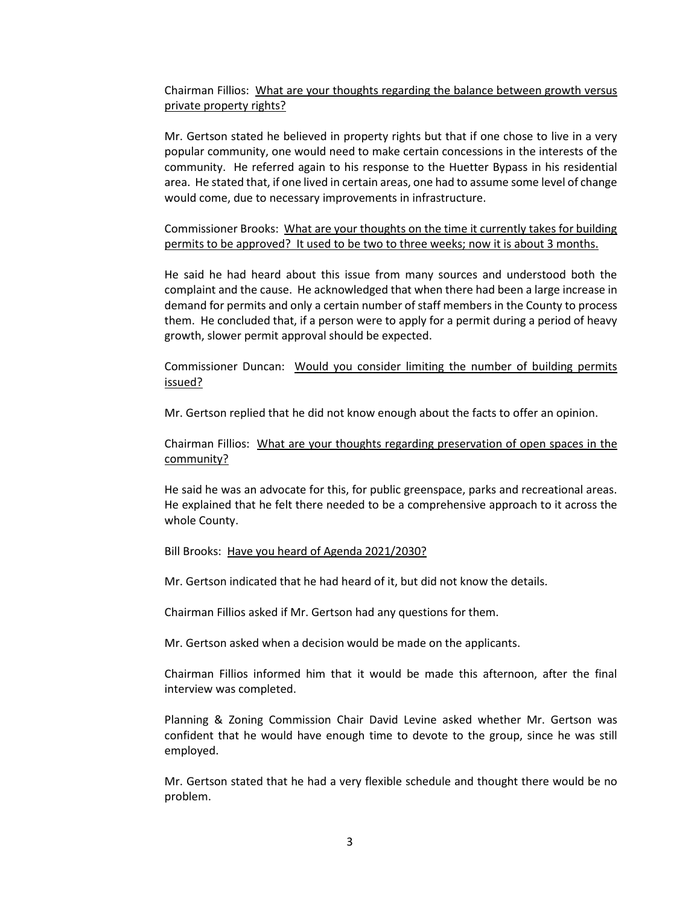Chairman Fillios: What are your thoughts regarding the balance between growth versus private property rights?

Mr. Gertson stated he believed in property rights but that if one chose to live in a very popular community, one would need to make certain concessions in the interests of the community. He referred again to his response to the Huetter Bypass in his residential area. He stated that, if one lived in certain areas, one had to assume some level of change would come, due to necessary improvements in infrastructure.

Commissioner Brooks: What are your thoughts on the time it currently takes for building permits to be approved? It used to be two to three weeks; now it is about 3 months.

He said he had heard about this issue from many sources and understood both the complaint and the cause. He acknowledged that when there had been a large increase in demand for permits and only a certain number of staff members in the County to process them. He concluded that, if a person were to apply for a permit during a period of heavy growth, slower permit approval should be expected.

Commissioner Duncan: Would you consider limiting the number of building permits issued?

Mr. Gertson replied that he did not know enough about the facts to offer an opinion.

Chairman Fillios: What are your thoughts regarding preservation of open spaces in the community?

He said he was an advocate for this, for public greenspace, parks and recreational areas. He explained that he felt there needed to be a comprehensive approach to it across the whole County.

Bill Brooks: Have you heard of Agenda 2021/2030?

Mr. Gertson indicated that he had heard of it, but did not know the details.

Chairman Fillios asked if Mr. Gertson had any questions for them.

Mr. Gertson asked when a decision would be made on the applicants.

Chairman Fillios informed him that it would be made this afternoon, after the final interview was completed.

Planning & Zoning Commission Chair David Levine asked whether Mr. Gertson was confident that he would have enough time to devote to the group, since he was still employed.

Mr. Gertson stated that he had a very flexible schedule and thought there would be no problem.